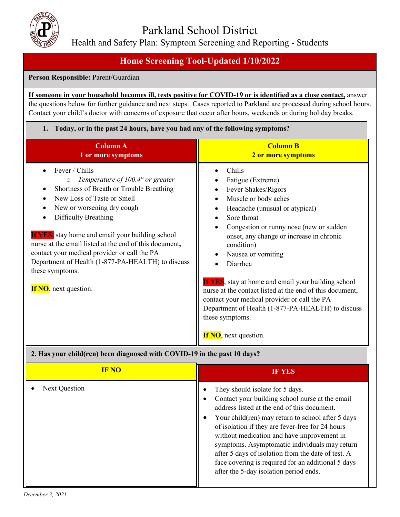

Health and Safety Plan: Symptom Screening and Reporting - Students

## **Home Screening Tool-Updated 1/10/2022**

### **Person Responsible:** Parent/Guardian

### **If someone in your household becomes ill, tests positive for COVID-19 or is identified as a close contact,** answer the questions below for further guidance and next steps. Cases reported to Parkland are processed during school hours. Contact your child's doctor with concerns of exposure that occur after hours, weekends or during holiday breaks.

| 1. Today, or in the past 24 hours, have you had any of the following symptoms?                                                                                                                                                                                                                                                                                                                                                                                                                     |                                                                                                                                                                                                                                                                                                                                                                                                                                                                                                                                                                                  |  |
|----------------------------------------------------------------------------------------------------------------------------------------------------------------------------------------------------------------------------------------------------------------------------------------------------------------------------------------------------------------------------------------------------------------------------------------------------------------------------------------------------|----------------------------------------------------------------------------------------------------------------------------------------------------------------------------------------------------------------------------------------------------------------------------------------------------------------------------------------------------------------------------------------------------------------------------------------------------------------------------------------------------------------------------------------------------------------------------------|--|
| <b>Column A</b><br>1 or more symptoms                                                                                                                                                                                                                                                                                                                                                                                                                                                              | <b>Column B</b><br>2 or more symptoms                                                                                                                                                                                                                                                                                                                                                                                                                                                                                                                                            |  |
| Fever / Chills<br>Temperature of $100.4^{\circ}$ or greater<br>$\circ$<br>Shortness of Breath or Trouble Breathing<br>New Loss of Taste or Smell<br>$\bullet$<br>New or worsening dry cough<br>Difficulty Breathing<br><b>If YES</b> , stay home and email your building school<br>nurse at the email listed at the end of this document,<br>contact your medical provider or call the PA<br>Department of Health (1-877-PA-HEALTH) to discuss<br>these symptoms.<br><b>If NO</b> , next question. | Chills<br>Fatigue (Extreme)<br>Fever Shakes/Rigors<br>Muscle or body aches<br>$\bullet$<br>Headache (unusual or atypical)<br>$\bullet$<br>Sore throat<br>Congestion or runny nose (new or sudden<br>onset, any change or increase in chronic<br>condition)<br>Nausea or vomiting<br>Diarrhea<br><b>If YES</b> , stay at home and email your building school<br>nurse at the contact listed at the end of this document,<br>contact your medical provider or call the PA<br>Department of Health (1-877-PA-HEALTH) to discuss<br>these symptoms.<br><b>If NO</b> , next question. |  |

### **2. Has your child(ren) been diagnosed with COVID-19 in the past 10 days?**

| <b>IF NO</b>         | IF YES                                                                                                                                                                                                                                                                                                                                                                                                                                                                                                       |
|----------------------|--------------------------------------------------------------------------------------------------------------------------------------------------------------------------------------------------------------------------------------------------------------------------------------------------------------------------------------------------------------------------------------------------------------------------------------------------------------------------------------------------------------|
| <b>Next Question</b> | They should isolate for 5 days.<br>Contact your building school nurse at the email<br>address listed at the end of this document.<br>Your child(ren) may return to school after 5 days<br>$\bullet$<br>of isolation if they are fever-free for 24 hours<br>without medication and have improvement in<br>symptoms. Asymptomatic individuals may return<br>after 5 days of isolation from the date of test. A<br>face covering is required for an additional 5 days<br>after the 5-day isolation period ends. |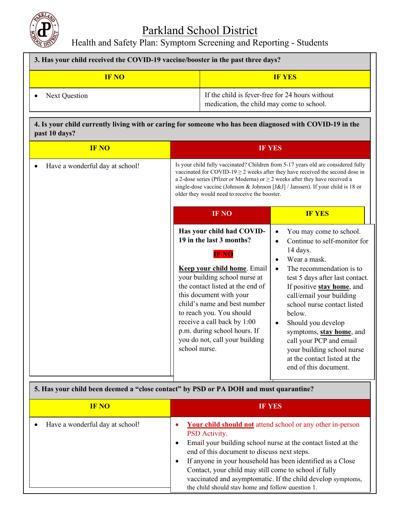

# Parkland School District

Health and Safety Plan: Symptom Screening and Reporting - Students

| 3. Has your child received the COVID-19 vaccine/booster in the past three days? |                                                                                              |  |
|---------------------------------------------------------------------------------|----------------------------------------------------------------------------------------------|--|
| <b>IF NO</b>                                                                    | <b>IF YES</b>                                                                                |  |
| Next Question                                                                   | If the child is fever-free for 24 hours without<br>medication, the child may come to school. |  |

### **4. Is your child currently living with or caring for someone who has been diagnosed with COVID-19 in the past 10 days?**

| <b>IF NO</b>                                                                          |                                                                                                                                                                                                                                                                                                                                                                                                 | <b>IF YES</b>                                                                                                                                                                                                                                                                                                                                                                                                                     |
|---------------------------------------------------------------------------------------|-------------------------------------------------------------------------------------------------------------------------------------------------------------------------------------------------------------------------------------------------------------------------------------------------------------------------------------------------------------------------------------------------|-----------------------------------------------------------------------------------------------------------------------------------------------------------------------------------------------------------------------------------------------------------------------------------------------------------------------------------------------------------------------------------------------------------------------------------|
| Have a wonderful day at school!                                                       | Is your child fully vaccinated? Children from 5-17 years old are considered fully<br>vaccinated for COVID-19 $\geq$ 2 weeks after they have received the second dose in<br>a 2-dose series (Pfizer or Moderna) or $\geq$ 2 weeks after they have received a<br>single-dose vaccine (Johnson & Johnson [J&J] / Janssen). If your child is 18 or<br>older they would need to receive the booster. |                                                                                                                                                                                                                                                                                                                                                                                                                                   |
|                                                                                       | IF NO                                                                                                                                                                                                                                                                                                                                                                                           | <b>IF YES</b>                                                                                                                                                                                                                                                                                                                                                                                                                     |
|                                                                                       | Has your child had COVID-<br>19 in the last 3 months?<br><b>IF NO</b><br><b>Keep your child home.</b> Email<br>your building school nurse at<br>the contact listed at the end of<br>this document with your<br>child's name and best number<br>to reach you. You should<br>receive a call back by 1:00<br>p.m. during school hours. If<br>you do not, call your building<br>school nurse.       | You may come to school.<br>Continue to self-monitor for<br>14 days.<br>Wear a mask.<br>The recommendation is to<br>test 5 days after last contact.<br>If positive <b>stay home</b> , and<br>call/email your building<br>school nurse contact listed<br>below.<br>Should you develop<br>symptoms, stay home, and<br>call your PCP and email<br>your building school nurse<br>at the contact listed at the<br>end of this document. |
| 5. Has vour child been deemed a "close contact" by PSD or PA DOH and must quarantine? |                                                                                                                                                                                                                                                                                                                                                                                                 |                                                                                                                                                                                                                                                                                                                                                                                                                                   |

| of this your ching been accured a - close contact - by T DD-01-111 D O11 and mast quarantmet |                                                                                                                                                                                                                                                                                                                                                                                                                                               |  |
|----------------------------------------------------------------------------------------------|-----------------------------------------------------------------------------------------------------------------------------------------------------------------------------------------------------------------------------------------------------------------------------------------------------------------------------------------------------------------------------------------------------------------------------------------------|--|
| <b>IF NO</b>                                                                                 | <b>IF YES</b>                                                                                                                                                                                                                                                                                                                                                                                                                                 |  |
| Have a wonderful day at school!                                                              | <b>Your child should not</b> attend school or any other in-person<br>PSD Activity.<br>Email your building school nurse at the contact listed at the<br>end of this document to discuss next steps.<br>If anyone in your household has been identified as a Close<br>Contact, your child may still come to school if fully<br>vaccinated and asymptomatic. If the child develop symptoms,<br>the child should stay home and follow question 1. |  |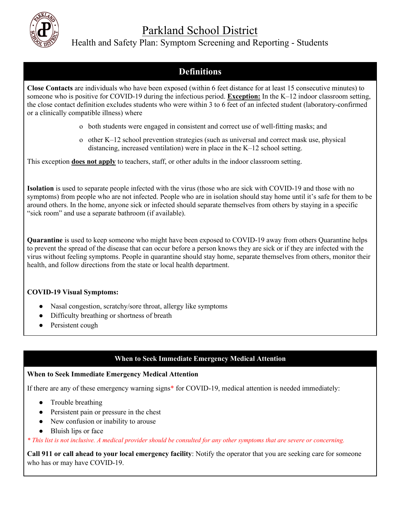

# Parkland School District

### Health and Safety Plan: Symptom Screening and Reporting - Students

### **Definitions**

**Close Contacts** are individuals who have been exposed (within 6 feet distance for at least 15 consecutive minutes) to someone who is positive for COVID-19 during the infectious period. **Exception:** In the K–12 indoor classroom setting, the close contact definition excludes students who were within 3 to 6 feet of an infected student (laboratory-confirmed or a clinically compatible illness) where

- o both students were engaged in consistent and correct use of well-fitting masks; and
- o other K–12 school prevention strategies (such as universal and correct mask use, physical distancing, increased ventilation) were in place in the K–12 school setting.

This exception **does not apply** to teachers, staff, or other adults in the indoor classroom setting.

**Isolation** is used to separate people infected with the virus (those who are sick with COVID-19 and those with no symptoms) from people who are not infected. People who are in isolation should stay home until it's safe for them to be around others. In the home, anyone sick or infected should separate themselves from others by staying in a specific "sick room" and use a separate bathroom (if available).

**Quarantine** is used to keep someone who might have been exposed to COVID-19 away from others Quarantine helps to prevent the spread of the disease that can occur before a person knows they are sick or if they are infected with the virus without feeling symptoms. People in quarantine should stay home, separate themselves from others, monitor their health, and follow directions from the state or local health department.

### **COVID-19 Visual Symptoms:**

- Nasal congestion, scratchy/sore throat, allergy like symptoms
- Difficulty breathing or shortness of breath
- Persistent cough

### **When to Seek Immediate Emergency Medical Attention**

### **When to Seek Immediate Emergency Medical Attention**

If there are any of these emergency warning signs\* for COVID-19, medical attention is needed immediately:

- Trouble breathing
- Persistent pain or pressure in the chest
- New confusion or inability to arouse
- Bluish lips or face

*\* This list is not inclusive. A medical provider should be consulted for any other symptoms that are severe or concerning.*

**Call 911 or call ahead to your local emergency facility**: Notify the operator that you are seeking care for someone who has or may have COVID-19.